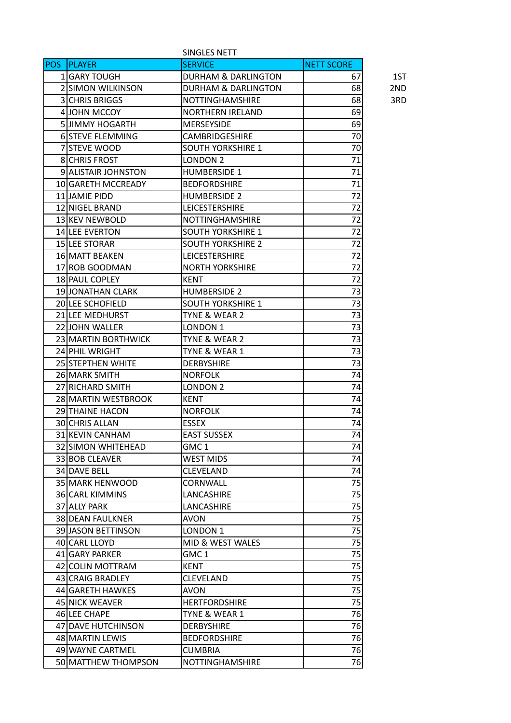|            |                          | SINGLES NETT                   |                   |     |
|------------|--------------------------|--------------------------------|-------------------|-----|
| <b>POS</b> | <b>PLAYER</b>            | <b>SERVICE</b>                 | <b>NETT SCORE</b> |     |
|            | 1 GARY TOUGH             | DURHAM & DARLINGTON            | 67                | 1ST |
|            | <b>2 SIMON WILKINSON</b> | <b>DURHAM &amp; DARLINGTON</b> | 68                | 2ND |
|            | <b>3 CHRIS BRIGGS</b>    | <b>NOTTINGHAMSHIRE</b>         | 68                | 3RD |
|            | 4 JOHN MCCOY             | <b>NORTHERN IRELAND</b>        | 69                |     |
|            | 5 JIMMY HOGARTH          | <b>MERSEYSIDE</b>              | 69                |     |
|            | <b>6 STEVE FLEMMING</b>  | <b>CAMBRIDGESHIRE</b>          | 70                |     |
|            | 7 STEVE WOOD             | <b>SOUTH YORKSHIRE 1</b>       | 70                |     |
|            | <b>8ICHRIS FROST</b>     | LONDON <sub>2</sub>            | 71                |     |
|            | 9 ALISTAIR JOHNSTON      | <b>HUMBERSIDE 1</b>            | 71                |     |
|            | 10 GARETH MCCREADY       | <b>BEDFORDSHIRE</b>            | 71                |     |
|            | 11 JAMIE PIDD            | <b>HUMBERSIDE 2</b>            | 72                |     |
|            | 12 NIGEL BRAND           | <b>LEICESTERSHIRE</b>          | 72                |     |
|            | 13 KEV NEWBOLD           | <b>NOTTINGHAMSHIRE</b>         | 72                |     |
|            | 14 LEE EVERTON           | <b>SOUTH YORKSHIRE 1</b>       | 72                |     |
|            | 15 LEE STORAR            | <b>SOUTH YORKSHIRE 2</b>       | 72                |     |
|            | 16 MATT BEAKEN           | <b>LEICESTERSHIRE</b>          | 72                |     |
|            | 17 ROB GOODMAN           | <b>NORTH YORKSHIRE</b>         | 72                |     |
|            | 18 PAUL COPLEY           | <b>KENT</b>                    | 72                |     |
|            | 19 JONATHAN CLARK        | <b>HUMBERSIDE 2</b>            | 73                |     |
|            | <b>20 LEE SCHOFIELD</b>  | <b>SOUTH YORKSHIRE 1</b>       | 73                |     |
|            | 21 LEE MEDHURST          | TYNE & WEAR 2                  | 73                |     |
|            | 22 JOHN WALLER           | LONDON 1                       | 73                |     |
|            | 23 MARTIN BORTHWICK      | TYNE & WEAR 2                  | 73                |     |
|            | 24 PHIL WRIGHT           | TYNE & WEAR 1                  | 73                |     |
|            | 25 STEPTHEN WHITE        | <b>DERBYSHIRE</b>              | 73                |     |
|            | 26 MARK SMITH            | <b>NORFOLK</b>                 | 74                |     |
|            | 27 RICHARD SMITH         | LONDON <sub>2</sub>            | 74                |     |
|            | 28 MARTIN WESTBROOK      | <b>KENT</b>                    | 74                |     |
|            | <b>29 THAINE HACON</b>   | <b>NORFOLK</b>                 | 74                |     |
|            | 30 CHRIS ALLAN           | <b>ESSEX</b>                   | 74                |     |
|            | 31 KEVIN CANHAM          | <b>EAST SUSSEX</b>             | 74                |     |
|            | 32 SIMON WHITEHEAD       | GMC 1                          | 74                |     |
|            | 33 BOB CLEAVER           | <b>WEST MIDS</b>               | 74                |     |
|            | 34 DAVE BELL             | <b>CLEVELAND</b>               | 74                |     |
|            | 35 MARK HENWOOD          | CORNWALL                       | 75                |     |
|            | 36 CARL KIMMINS          | LANCASHIRE                     | 75                |     |
|            | 37 ALLY PARK             | <b>LANCASHIRE</b>              | 75                |     |
|            | 38 DEAN FAULKNER         | AVON                           | 75                |     |
|            | 39 JASON BETTINSON       | LONDON 1                       | 75                |     |
|            | 40 CARL LLOYD            | MID & WEST WALES               | 75                |     |
|            | 41 GARY PARKER           | GMC 1                          | 75                |     |
|            | 42 COLIN MOTTRAM         | KENT                           | 75                |     |
|            | 43 CRAIG BRADLEY         | CLEVELAND                      | 75                |     |
|            | 44 GARETH HAWKES         | AVON                           | 75                |     |
|            | 45 NICK WEAVER           | <b>HERTFORDSHIRE</b>           | 75                |     |
|            | 46 LEE CHAPE             | TYNE & WEAR 1                  | 76                |     |
|            | 47 DAVE HUTCHINSON       | DERBYSHIRE                     | 76                |     |
|            | 48 MARTIN LEWIS          | <b>BEDFORDSHIRE</b>            | 76                |     |
|            | 49 WAYNE CARTMEL         | <b>CUMBRIA</b>                 | 76                |     |
|            | 50 MATTHEW THOMPSON      | <b>NOTTINGHAMSHIRE</b>         | 76                |     |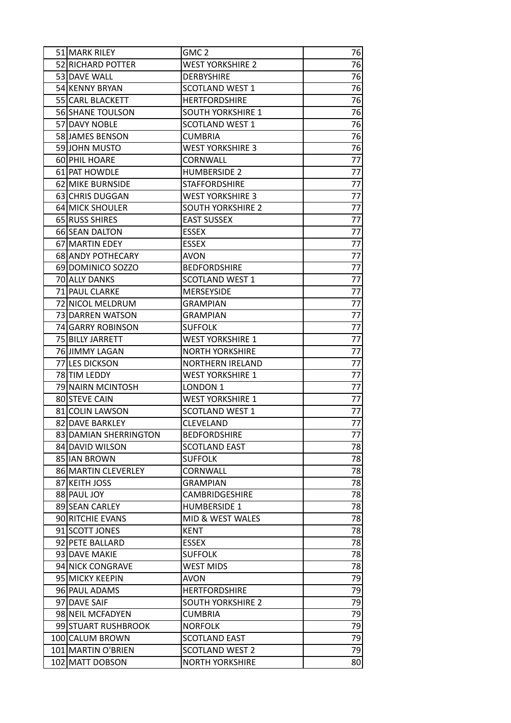| 51 MARK RILEY         | GMC <sub>2</sub>         | 76 |
|-----------------------|--------------------------|----|
| 52 RICHARD POTTER     | <b>WEST YORKSHIRE 2</b>  | 76 |
| 53 DAVE WALL          | <b>DERBYSHIRE</b>        | 76 |
| 54 KENNY BRYAN        | <b>SCOTLAND WEST 1</b>   | 76 |
| 55 CARL BLACKETT      | <b>HERTFORDSHIRE</b>     | 76 |
| 56 SHANE TOULSON      | <b>SOUTH YORKSHIRE 1</b> | 76 |
| 57 DAVY NOBLE         | <b>SCOTLAND WEST 1</b>   | 76 |
| 58 JAMES BENSON       | <b>CUMBRIA</b>           | 76 |
| 59JJOHN MUSTO         | <b>WEST YORKSHIRE 3</b>  | 76 |
| 60 PHIL HOARE         | CORNWALL                 | 77 |
| 61 PAT HOWDLE         | <b>HUMBERSIDE 2</b>      | 77 |
| 62 MIKE BURNSIDE      | <b>STAFFORDSHIRE</b>     | 77 |
| 63 CHRIS DUGGAN       | <b>WEST YORKSHIRE 3</b>  | 77 |
| 64 MICK SHOULER       | <b>SOUTH YORKSHIRE 2</b> | 77 |
| 65 RUSS SHIRES        | <b>EAST SUSSEX</b>       | 77 |
| 66 SEAN DALTON        | <b>ESSEX</b>             | 77 |
| 67 MARTIN EDEY        | <b>ESSEX</b>             | 77 |
| 68 ANDY POTHECARY     | <b>AVON</b>              | 77 |
| 69 DOMINICO SOZZO     | <b>BEDFORDSHIRE</b>      | 77 |
| 70 ALLY DANKS         | SCOTLAND WEST 1          | 77 |
| 71 PAUL CLARKE        | <b>MERSEYSIDE</b>        | 77 |
| 72 NICOL MELDRUM      | <b>GRAMPIAN</b>          | 77 |
| 73 DARREN WATSON      | <b>GRAMPIAN</b>          | 77 |
| 74 GARRY ROBINSON     | <b>SUFFOLK</b>           | 77 |
| 75 BILLY JARRETT      | <b>WEST YORKSHIRE 1</b>  | 77 |
| 76 JIMMY LAGAN        | <b>NORTH YORKSHIRE</b>   | 77 |
| 77 LES DICKSON        | <b>NORTHERN IRELAND</b>  | 77 |
| 78 TIM LEDDY          | <b>WEST YORKSHIRE 1</b>  | 77 |
| 79 NAIRN MCINTOSH     | LONDON <sub>1</sub>      | 77 |
| 80 STEVE CAIN         | <b>WEST YORKSHIRE 1</b>  | 77 |
| 81 COLIN LAWSON       | <b>SCOTLAND WEST 1</b>   | 77 |
| 82 DAVE BARKLEY       | <b>CLEVELAND</b>         | 77 |
| 83 DAMIAN SHERRINGTON | <b>BEDFORDSHIRE</b>      | 77 |
| 84 DAVID WILSON       | <b>SCOTLAND EAST</b>     | 78 |
| 85 IAN BROWN          | <b>SUFFOLK</b>           | 78 |
| 86 MARTIN CLEVERLEY   | CORNWALL                 | 78 |
| 87 KEITH JOSS         | <b>GRAMPIAN</b>          | 78 |
| 88 PAUL JOY           | <b>CAMBRIDGESHIRE</b>    | 78 |
| 89 SEAN CARLEY        | <b>HUMBERSIDE 1</b>      | 78 |
| 90 RITCHIE EVANS      | MID & WEST WALES         | 78 |
| 91 SCOTT JONES        | <b>KENT</b>              | 78 |
| 92 PETE BALLARD       | ESSEX                    | 78 |
| 93 DAVE MAKIE         | <b>SUFFOLK</b>           | 78 |
| 94 NICK CONGRAVE      | <b>WEST MIDS</b>         | 78 |
| 95 MICKY KEEPIN       | <b>AVON</b>              | 79 |
| 96 PAUL ADAMS         | <b>HERTFORDSHIRE</b>     | 79 |
| 97 DAVE SAIF          | <b>SOUTH YORKSHIRE 2</b> | 79 |
| 98 NEIL MCFADYEN      | <b>CUMBRIA</b>           | 79 |
| 99 STUART RUSHBROOK   | <b>NORFOLK</b>           | 79 |
| 100 CALUM BROWN       | <b>SCOTLAND EAST</b>     | 79 |
| 101 MARTIN O'BRIEN    | <b>SCOTLAND WEST 2</b>   | 79 |
| 102 MATT DOBSON       | <b>NORTH YORKSHIRE</b>   | 80 |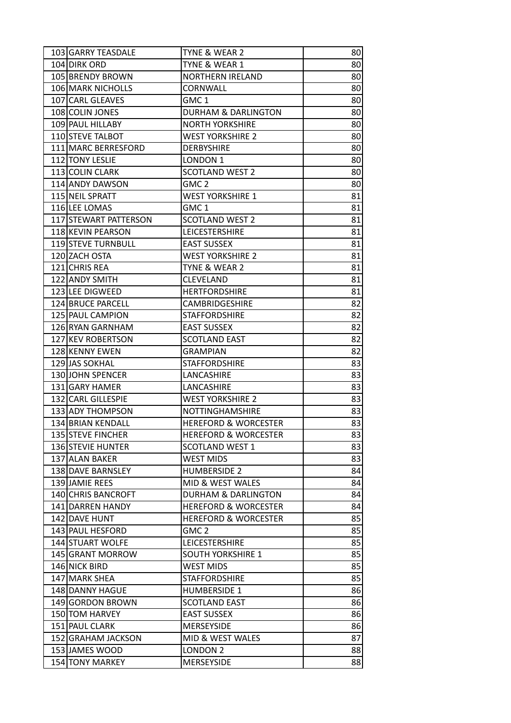| 103 GARRY TEASDALE       | TYNE & WEAR 2                   | 80 <sub>1</sub> |
|--------------------------|---------------------------------|-----------------|
| 104 DIRK ORD             | TYNE & WEAR 1                   | 80              |
| 105 BRENDY BROWN         | <b>NORTHERN IRELAND</b>         | 80              |
| 106 MARK NICHOLLS        | CORNWALL                        | 80              |
| 107 CARL GLEAVES         | GMC <sub>1</sub>                | 80              |
| 108 COLIN JONES          | <b>DURHAM &amp; DARLINGTON</b>  | 80              |
| 109 PAUL HILLABY         | <b>NORTH YORKSHIRE</b>          | 80 <sub>0</sub> |
| 110 STEVE TALBOT         | <b>WEST YORKSHIRE 2</b>         | 80              |
| 111 MARC BERRESFORD      | <b>DERBYSHIRE</b>               | 80              |
| 112 TONY LESLIE          | LONDON 1                        | 80 <sub>0</sub> |
| 113 COLIN CLARK          | <b>SCOTLAND WEST 2</b>          | 80              |
| 114 ANDY DAWSON          | GMC <sub>2</sub>                | 80              |
| 115 NEIL SPRATT          | <b>WEST YORKSHIRE 1</b>         | 81              |
| 116 LEE LOMAS            | GMC <sub>1</sub>                | 81              |
| 117 STEWART PATTERSON    | <b>SCOTLAND WEST 2</b>          | 81              |
| 118 KEVIN PEARSON        | <b>LEICESTERSHIRE</b>           | 81              |
| 119 STEVE TURNBULL       | <b>EAST SUSSEX</b>              | 81              |
| 120 ZACH OSTA            | <b>WEST YORKSHIRE 2</b>         | 81              |
| 121 CHRIS REA            | TYNE & WEAR 2                   | 81              |
| 122 ANDY SMITH           | CLEVELAND                       | 81              |
| 123 LEE DIGWEED          | <b>HERTFORDSHIRE</b>            | 81              |
| 124 BRUCE PARCELL        | <b>CAMBRIDGESHIRE</b>           | 82              |
| 125 PAUL CAMPION         | <b>STAFFORDSHIRE</b>            | 82              |
| 126 RYAN GARNHAM         | <b>EAST SUSSEX</b>              | 82              |
| 127 KEV ROBERTSON        | <b>SCOTLAND EAST</b>            | 82              |
| 128 KENNY EWEN           | <b>GRAMPIAN</b>                 | 82              |
| 129 JAS SOKHAL           | <b>STAFFORDSHIRE</b>            | 83              |
| 130 JOHN SPENCER         | LANCASHIRE                      | 83              |
| 131 GARY HAMER           | LANCASHIRE                      | 83              |
| 132 CARL GILLESPIE       | <b>WEST YORKSHIRE 2</b>         | 83              |
| 133 ADY THOMPSON         | NOTTINGHAMSHIRE                 | 83              |
| 134 BRIAN KENDALL        | <b>HEREFORD &amp; WORCESTER</b> | 83              |
| 135 STEVE FINCHER        | <b>HEREFORD &amp; WORCESTER</b> | 83              |
| 136 STEVIE HUNTER        | <b>SCOTLAND WEST 1</b>          | 83              |
| 137 ALAN BAKER           | <b>WEST MIDS</b>                | 83              |
| <b>138 DAVE BARNSLEY</b> | <b>HUMBERSIDE 2</b>             | 84              |
| 139 JAMIE REES           | MID & WEST WALES                | 84              |
| 140 CHRIS BANCROFT       | <b>DURHAM &amp; DARLINGTON</b>  | 84              |
| 141 DARREN HANDY         | <b>HEREFORD &amp; WORCESTER</b> | 84              |
| 142 DAVE HUNT            | <b>HEREFORD &amp; WORCESTER</b> | 85              |
| 143 PAUL HESFORD         | GMC <sub>2</sub>                | 85              |
| 144 STUART WOLFE         | <b>LEICESTERSHIRE</b>           | 85              |
| 145 GRANT MORROW         | <b>SOUTH YORKSHIRE 1</b>        | 85              |
| 146 NICK BIRD            | <b>WEST MIDS</b>                | 85              |
| 147 MARK SHEA            | <b>STAFFORDSHIRE</b>            | 85              |
| 148 DANNY HAGUE          | <b>HUMBERSIDE 1</b>             | 86              |
| 149 GORDON BROWN         | <b>SCOTLAND EAST</b>            | 86              |
| 150 TOM HARVEY           | <b>EAST SUSSEX</b>              | 86              |
| 151 PAUL CLARK           | <b>MERSEYSIDE</b>               | 86              |
| 152 GRAHAM JACKSON       | MID & WEST WALES                | 87              |
| 153 JAMES WOOD           | LONDON <sub>2</sub>             | 88              |
| 154 TONY MARKEY          | <b>MERSEYSIDE</b>               | 88              |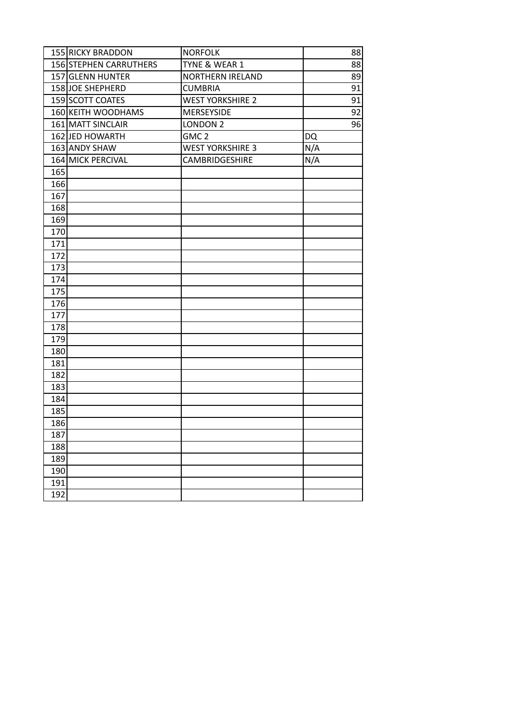|     | 155 RICKY BRADDON                          | <b>NORFOLK</b>                            | 88        |
|-----|--------------------------------------------|-------------------------------------------|-----------|
|     | 156 STEPHEN CARRUTHERS<br>157 GLENN HUNTER | TYNE & WEAR 1                             | 88        |
|     |                                            | <b>NORTHERN IRELAND</b>                   | 89        |
|     | 158JOE SHEPHERD<br>159 SCOTT COATES        | <b>CUMBRIA</b><br><b>WEST YORKSHIRE 2</b> | 91        |
|     |                                            |                                           | 91        |
|     | 160 KEITH WOODHAMS                         | MERSEYSIDE                                | 92        |
|     | 161 MATT SINCLAIR                          | LONDON <sub>2</sub>                       | 96        |
|     | 162 JED HOWARTH                            | GMC <sub>2</sub>                          | <b>DQ</b> |
|     | 163 ANDY SHAW                              | <b>WEST YORKSHIRE 3</b>                   | N/A       |
|     | 164 MICK PERCIVAL                          | CAMBRIDGESHIRE                            | N/A       |
| 165 |                                            |                                           |           |
| 166 |                                            |                                           |           |
| 167 |                                            |                                           |           |
| 168 |                                            |                                           |           |
| 169 |                                            |                                           |           |
| 170 |                                            |                                           |           |
| 171 |                                            |                                           |           |
| 172 |                                            |                                           |           |
| 173 |                                            |                                           |           |
| 174 |                                            |                                           |           |
| 175 |                                            |                                           |           |
| 176 |                                            |                                           |           |
| 177 |                                            |                                           |           |
| 178 |                                            |                                           |           |
| 179 |                                            |                                           |           |
| 180 |                                            |                                           |           |
| 181 |                                            |                                           |           |
| 182 |                                            |                                           |           |
| 183 |                                            |                                           |           |
| 184 |                                            |                                           |           |
| 185 |                                            |                                           |           |
| 186 |                                            |                                           |           |
| 187 |                                            |                                           |           |
| 188 |                                            |                                           |           |
| 189 |                                            |                                           |           |
| 190 |                                            |                                           |           |
| 191 |                                            |                                           |           |
| 192 |                                            |                                           |           |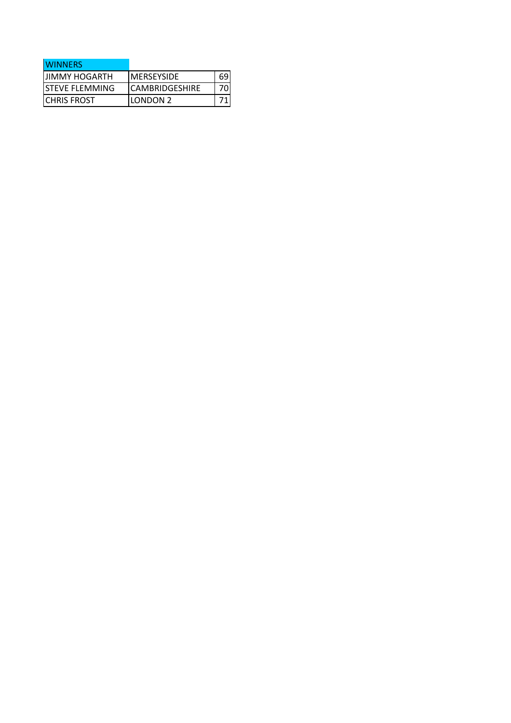| <b>WINNERS</b>        |                        |  |
|-----------------------|------------------------|--|
| <b>IJIMMY HOGARTH</b> | IMERSEYSIDE            |  |
| ISTEVE FLEMMING       | <b>ICAMBRIDGESHIRE</b> |  |
| <b>ICHRIS FROST</b>   | ILONDON 2              |  |